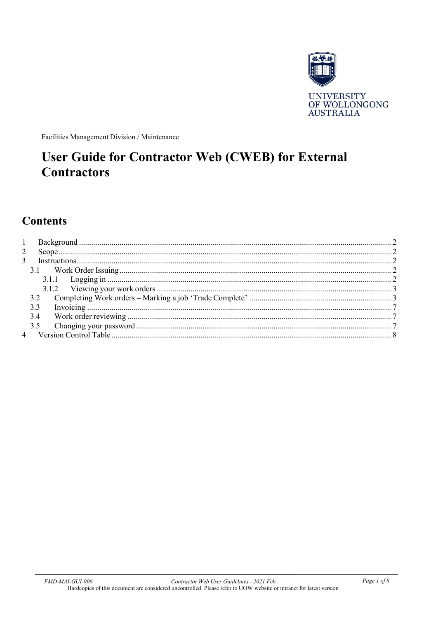

Facilities Management Division / Maintenance

# **User Guide for Contractor Web (CWEB) for External Contractors**

# **Contents**

| 3.3 |  |
|-----|--|
| 3.4 |  |
|     |  |
|     |  |
|     |  |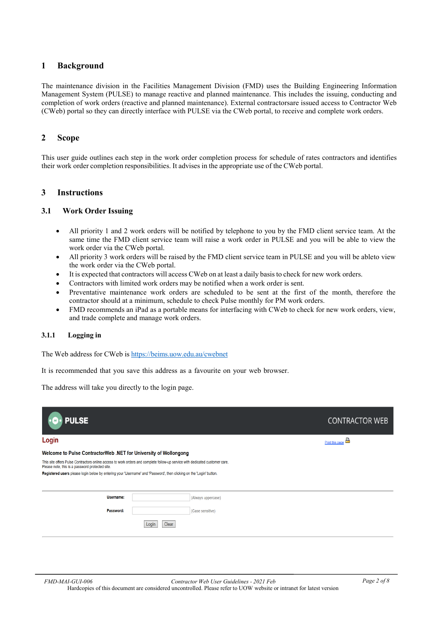#### <span id="page-1-0"></span>**1 Background**

The maintenance division in the Facilities Management Division (FMD) uses the Building Engineering Information Management System (PULSE) to manage reactive and planned maintenance. This includes the issuing, conducting and completion of work orders (reactive and planned maintenance). External contractorsare issued access to Contractor Web (CWeb) portal so they can directly interface with PULSE via the CWeb portal, to receive and complete work orders.

#### <span id="page-1-1"></span>**2 Scope**

This user guide outlines each step in the work order completion process for schedule of rates contractors and identifies their work order completion responsibilities. It advises in the appropriate use of the CWeb portal.

#### <span id="page-1-2"></span>**3 Instructions**

#### <span id="page-1-3"></span>**3.1 Work Order Issuing**

- All priority 1 and 2 work orders will be notified by telephone to you by the FMD client service team. At the same time the FMD client service team will raise a work order in PULSE and you will be able to view the work order via the CWeb portal.
- All priority 3 work orders will be raised by the FMD client service team in PULSE and you will be ableto view the work order via the CWeb portal.
- It is expected that contractors will access CWeb on at least a daily basisto check for new work orders.
- Contractors with limited work orders may be notified when a work order is sent.
- Preventative maintenance work orders are scheduled to be sent at the first of the month, therefore the contractor should at a minimum, schedule to check Pulse monthly for PM work orders.
- FMD recommends an iPad as a portable means for interfacing with CWeb to check for new work orders, view, and trade complete and manage work orders.

#### <span id="page-1-4"></span>**3.1.1 Logging in**

The Web address for CWeb is <https://beims.uow.edu.au/cwebnet>

It is recommended that you save this address as a favourite on your web browser.

The address will take you directly to the login page.

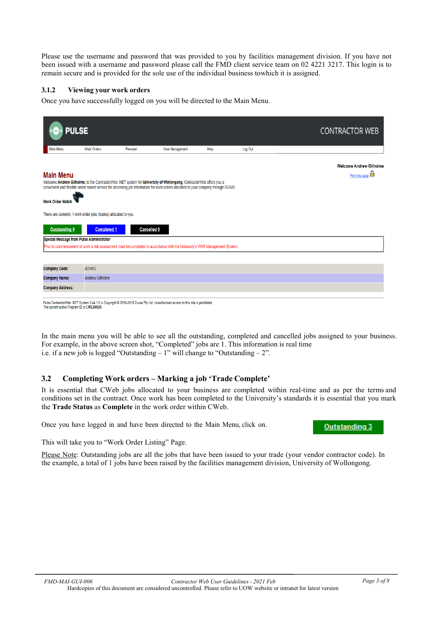Please use the username and password that was provided to you by facilities management division. If you have not been issued with a username and password please call the FMD client service team on 02 4221 3217. This login is to remain secure and is provided for the sole use of the individual business towhich it is assigned.

#### <span id="page-2-0"></span>**3.1.2 Viewing your work orders**

Once you have successfully logged on you will be directed to the Main Menu.

| <b>PULSE</b>                                                     |                        |                    |                                                                                                                                                                                                                                                           |      |         | <b>CONTRACTOR WEB</b>                             |  |  |
|------------------------------------------------------------------|------------------------|--------------------|-----------------------------------------------------------------------------------------------------------------------------------------------------------------------------------------------------------------------------------------------------------|------|---------|---------------------------------------------------|--|--|
| <b>Main Menu</b>                                                 | <b>Work Orders</b>     | Personal           | <b>User Management</b>                                                                                                                                                                                                                                    | Help | Log Out |                                                   |  |  |
| <b>Main Menu</b>                                                 |                        |                    | Welcome Andrew Gilholme, to the ContractorWeb .NET system for University of Wollongong. ContractorWeb offers you a<br>convenient and flexible online based service for accessing job information for work orders allocated to your company through BEIMS. |      |         | <b>Welcome Andrew Gilholme</b><br>Print this page |  |  |
| <b>Work Order Watch</b>                                          |                        |                    |                                                                                                                                                                                                                                                           |      |         |                                                   |  |  |
| There are currently 1 work order jobs (trades) allocated to you. |                        |                    |                                                                                                                                                                                                                                                           |      |         |                                                   |  |  |
| <b>Outstanding 0</b>                                             | <b>Completed 1</b>     | <b>Cancelled 0</b> |                                                                                                                                                                                                                                                           |      |         |                                                   |  |  |
| Special Message from Pulse Administrator                         |                        |                    |                                                                                                                                                                                                                                                           |      |         |                                                   |  |  |
|                                                                  |                        |                    | Prior to commencement of work a risk assessment must be completed in accordance with the University's WHS Management System.                                                                                                                              |      |         |                                                   |  |  |
|                                                                  |                        |                    |                                                                                                                                                                                                                                                           |      |         |                                                   |  |  |
| <b>Company Code:</b>                                             | <b>ADVAG</b>           |                    |                                                                                                                                                                                                                                                           |      |         |                                                   |  |  |
| <b>Company Name:</b>                                             | <b>Andrew Gilholme</b> |                    |                                                                                                                                                                                                                                                           |      |         |                                                   |  |  |
| <b>Company Address:</b>                                          |                        |                    |                                                                                                                                                                                                                                                           |      |         |                                                   |  |  |
| The current active Program ID is CWEB002S                        |                        |                    | Pulse ContractorWeb.NET System 5.44.1.0 is Copyright @ 2016-2019 Zuuse Pty Ltd. Unauthorised access to this site is prohibited.                                                                                                                           |      |         |                                                   |  |  |

In the main menu you will be able to see all the outstanding, completed and cancelled jobs assigned to your business.

For example, in the above screen shot, "Completed" jobs are 1. This information is real time i.e. if a new job is logged "Outstanding – 1" will change to "Outstanding – 2".

#### <span id="page-2-1"></span>**3.2 Completing Work orders – Marking a job 'Trade Complete'**

It is essential that CWeb jobs allocated to your business are completed within real-time and as per the terms and conditions set in the contract. Once work has been completed to the University's standards it is essential that you mark the **Trade Status** as **Complete** in the work order within CWeb.

Once you have logged in and have been directed to the Main Menu, click on.

This will take you to "Work Order Listing" Page.

Please Note: Outstanding jobs are all the jobs that have been issued to your trade (your vendor contractor code). In the example, a total of 1 jobs have been raised by the facilities management division, University of Wollongong.

**Outstanding 3**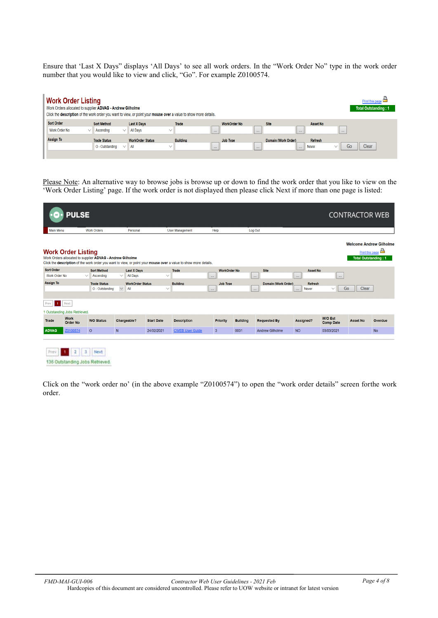Ensure that 'Last X Days" displays 'All Days' to see all work orders. In the "Work Order No" type in the work order number that you would like to view and click, "Go". For example Z0100574.

| <b>Work Order Listing</b><br>Work Orders allocated to supplier ADVAG - Andrew Gilholme |                                                  | Click the description of the work order you want to view, or point your mouse over a value to show more details. |                 |                     |                                             |                         | Print this page<br>Total Outstanding: 1 |
|----------------------------------------------------------------------------------------|--------------------------------------------------|------------------------------------------------------------------------------------------------------------------|-----------------|---------------------|---------------------------------------------|-------------------------|-----------------------------------------|
| <b>Sort Order</b><br>Work Order No<br>$\checkmark$                                     | <b>Sort Method</b><br>Ascending<br>$\checkmark$  | <b>Last X Days</b><br><b>All Days</b><br>$\checkmark$                                                            | Trade           | <b>WorkOrder No</b> | <b>Site</b>                                 | Asset No                |                                         |
| Assign To                                                                              |                                                  |                                                                                                                  |                 | $\cdots$            | $\cdots$<br>1.11                            | $\cdots$                |                                         |
|                                                                                        | <b>Trade Status</b><br>O - Outstanding<br>$\vee$ | <b>WorkOrder Status</b><br>All<br>$\checkmark$                                                                   | <b>Building</b> | Job Type<br>1.11    | Domain (Work Order)<br>$\cdots$<br>$\cdots$ | <b>Refresh</b><br>Never | Clear<br>Go                             |
|                                                                                        |                                                  |                                                                                                                  |                 |                     |                                             |                         |                                         |

Please Note: An alternative way to browse jobs is browse up or down to find the work order that you like to view on the 'Work Order Listing' page. If the work order is not displayed then please click Next if more than one page is listed:

|                                    | <b>PULSE</b>                            |                                                           |                  |                                       |                   |                                                                                                                  |              |                     |                 |                                     |                                            |                                    | <b>CONTRACTOR WEB</b>       |                                                          |
|------------------------------------|-----------------------------------------|-----------------------------------------------------------|------------------|---------------------------------------|-------------------|------------------------------------------------------------------------------------------------------------------|--------------|---------------------|-----------------|-------------------------------------|--------------------------------------------|------------------------------------|-----------------------------|----------------------------------------------------------|
| <b>Main Menu</b>                   |                                         | <b>Work Orders</b>                                        |                  | Personal                              |                   | <b>User Management</b>                                                                                           | Help         |                     |                 | Log Out                             |                                            |                                    |                             |                                                          |
|                                    | <b>Work Order Listing</b>               | Work Orders allocated to supplier ADVAG - Andrew Gilholme |                  |                                       |                   | Click the description of the work order you want to view, or point your mouse over a value to show more details. |              |                     |                 |                                     |                                            |                                    | <b>Total Outstanding: 1</b> | <b>Welcome Andrew Gilholme</b><br><u>Print this page</u> |
| <b>Sort Order</b><br>Work Order No |                                         | <b>Sort Method</b><br>Ascending<br>$\checkmark$           | $\checkmark$     | <b>Last X Days</b><br><b>All Days</b> | $\checkmark$      | Trade                                                                                                            | $\sim$       | <b>WorkOrder No</b> |                 | <b>Site</b><br>$\sim 10^{-1}$       | <b>Asset No</b><br>$\sim$                  | $\sim$                             |                             |                                                          |
| <b>Assign To</b>                   |                                         | <b>Trade Status</b><br>O - Outstanding                    | $\smallsetminus$ | <b>WorkOrder Status</b><br>All        | $\checkmark$      | <b>Building</b>                                                                                                  | $\mathbf{r}$ | Job Type            |                 | Domain (Work Order)<br>$\mathbf{r}$ | <b>Refresh</b><br><b>Never</b><br>$\cdots$ | Go<br>$\checkmark$                 | Clear                       |                                                          |
| Prev                               | 1 Next<br>1 Outstanding Jobs Retrieved. |                                                           |                  |                                       |                   |                                                                                                                  |              |                     |                 |                                     |                                            |                                    |                             |                                                          |
| Trade                              | <b>Work</b><br><b>Order No</b>          | <b>WO Status</b>                                          | Chargeable?      |                                       | <b>Start Date</b> | <b>Description</b>                                                                                               |              | Priority            | <b>Building</b> | <b>Requested By</b>                 | Assigned?                                  | <b>W/O Est</b><br><b>Comp Date</b> | <b>Asset No</b>             | Overdue                                                  |
| <b>ADVAG</b>                       | Z0100574                                | $\circ$                                                   | N                |                                       | 24/02/2021        | <b>CWEB User Guide</b>                                                                                           | $\mathbf{3}$ |                     | 0031            | <b>Andrew Gilholme</b>              | <b>NO</b>                                  | 03/03/2021                         |                             | <b>No</b>                                                |
|                                    |                                         |                                                           |                  |                                       |                   |                                                                                                                  |              |                     |                 |                                     |                                            |                                    |                             |                                                          |

Prev 1 2 3 Next 136 Outstanding Jobs Retrieved.

Click on the "work order no' (in the above example "Z0100574") to open the "work order details" screen forthe work order.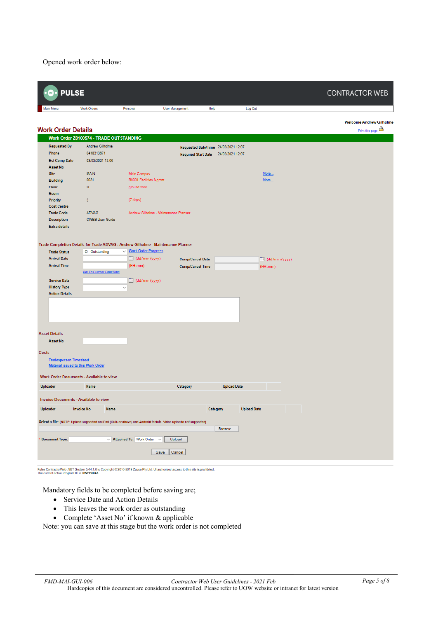Opened work order below:

| <b>PULSE</b>                               |                                              |                                                                                                                  |                                      |                    |                          | <b>CONTRACTOR WEB</b>                             |
|--------------------------------------------|----------------------------------------------|------------------------------------------------------------------------------------------------------------------|--------------------------------------|--------------------|--------------------------|---------------------------------------------------|
| Main Menu                                  | <b>Work Orders</b>                           | Personal                                                                                                         | User Management                      | Help               | Log Out                  |                                                   |
| <b>Work Order Details</b>                  |                                              |                                                                                                                  |                                      |                    |                          | <b>Welcome Andrew Gilholme</b><br>Print this page |
|                                            | Work Order Z0100574 - TRADE OUTSTANDING      |                                                                                                                  |                                      |                    |                          |                                                   |
| <b>Requested By</b>                        | Andrew Gilholme                              |                                                                                                                  | Requested Date/Time 24/02/2021 12:07 |                    |                          |                                                   |
| Phone                                      | 0418313671                                   |                                                                                                                  | Required Start Date 24/02/2021 12:07 |                    |                          |                                                   |
| <b>Est Comp Date</b><br><b>Asset No</b>    | 03/03/2021 12:06                             |                                                                                                                  |                                      |                    |                          |                                                   |
| <b>Site</b>                                | <b>MAIN</b>                                  | Main Campus                                                                                                      |                                      |                    | More                     |                                                   |
| <b>Building</b>                            | 0031                                         | B0031 Facilities Mgmnt                                                                                           |                                      |                    | More                     |                                                   |
| Floor                                      | G                                            | ground floor                                                                                                     |                                      |                    |                          |                                                   |
| <b>Room</b>                                |                                              |                                                                                                                  |                                      |                    |                          |                                                   |
| <b>Priority</b><br><b>Cost Centre</b>      | 3                                            | $(7 \text{ days})$                                                                                               |                                      |                    |                          |                                                   |
| <b>Trade Code</b>                          | <b>ADVAG</b>                                 | Andrew Gilholme - Maintenance Planner                                                                            |                                      |                    |                          |                                                   |
| <b>Description</b>                         | <b>CWEB User Guide</b>                       |                                                                                                                  |                                      |                    |                          |                                                   |
| <b>Extra details</b>                       |                                              |                                                                                                                  |                                      |                    |                          |                                                   |
|                                            |                                              |                                                                                                                  |                                      |                    |                          |                                                   |
|                                            |                                              | Trade Completion Details for Trade ADVAG : Andrew Gilholme - Maintenance Planner                                 |                                      |                    |                          |                                                   |
| <b>Trade Status</b>                        | O - Outstanding                              | V Mork Order Progress                                                                                            |                                      |                    |                          |                                                   |
| <b>Arrival Date</b>                        |                                              | $\Box$ (dd/mm/yyyy)                                                                                              | <b>Comp/Cancel Date</b>              |                    | $\boxed{a}$ (dd/mm/yyyy) |                                                   |
| <b>Arrival Time</b>                        |                                              | (HH:mm)                                                                                                          | <b>Comp/Cancel Time</b>              |                    | (HH:mm)                  |                                                   |
|                                            | Set To Current Date/Time                     |                                                                                                                  |                                      |                    |                          |                                                   |
| <b>Service Date</b><br><b>History Type</b> |                                              | $\boxed{a}$ (dd/mm/yyyy)<br>$\checkmark$                                                                         |                                      |                    |                          |                                                   |
| <b>Action Details</b>                      |                                              |                                                                                                                  |                                      |                    |                          |                                                   |
|                                            |                                              |                                                                                                                  |                                      |                    |                          |                                                   |
| <b>Asset Details</b>                       |                                              |                                                                                                                  |                                      |                    |                          |                                                   |
| <b>Asset No</b>                            |                                              |                                                                                                                  |                                      |                    |                          |                                                   |
|                                            |                                              |                                                                                                                  |                                      |                    |                          |                                                   |
| Costs                                      |                                              |                                                                                                                  |                                      |                    |                          |                                                   |
| <b>Tradesperson Timesheet</b>              | <b>Material issued to this Work Order</b>    |                                                                                                                  |                                      |                    |                          |                                                   |
|                                            | Work Order Documents - Available to view     |                                                                                                                  |                                      |                    |                          |                                                   |
| Uploader                                   | <b>Name</b>                                  |                                                                                                                  | Category                             | <b>Upload Date</b> |                          |                                                   |
|                                            | <b>Invoice Documents - Available to view</b> |                                                                                                                  |                                      |                    |                          |                                                   |
| <b>Uploader</b>                            | <b>Invoice No</b><br>Name                    |                                                                                                                  |                                      | Category           | <b>Upload Date</b>       |                                                   |
|                                            |                                              | Select a file: (NOTE: Upload supported on IPad (IOS6 or above) and Android tablets. Video uploads not supported) |                                      |                    |                          |                                                   |
|                                            |                                              |                                                                                                                  |                                      | Browse             |                          |                                                   |
|                                            |                                              |                                                                                                                  |                                      |                    |                          |                                                   |
| <b>Document Type:</b>                      |                                              | $\vee$ Attached To: Work Order $\vee$                                                                            | Upload                               |                    |                          |                                                   |
|                                            |                                              | Save                                                                                                             |                                      |                    |                          |                                                   |
|                                            |                                              |                                                                                                                  | Cancel                               |                    |                          |                                                   |
|                                            |                                              |                                                                                                                  |                                      |                    |                          |                                                   |

.<br>Pulse ContractorWeb .NET System 5.44.1.0 is Copyright © 2016-2019 Zuuse Pty Ltd. Unauthorised access to this site is prohibited.<br>The current active Program ID is CWEB004\$ .

Mandatory fields to be completed before saving are;

- Service Date and Action Details
- This leaves the work order as outstanding
- Complete 'Asset No' if known & applicable

Note: you can save at this stage but the work order is not completed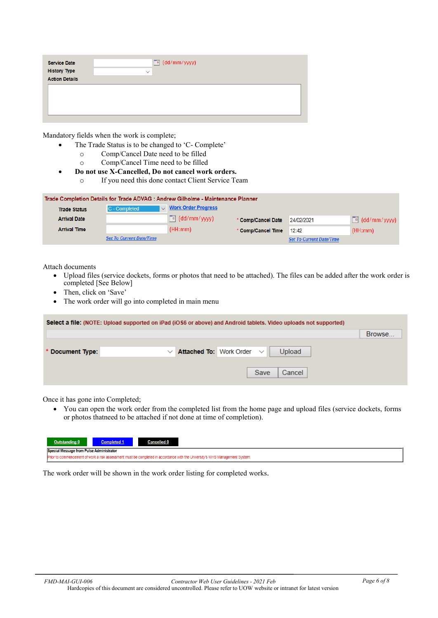| <b>Service Date</b>   | $\boxed{e}$ (dd/mm/yyyy) |
|-----------------------|--------------------------|
| <b>History Type</b>   | $\checkmark$             |
| <b>Action Details</b> |                          |
|                       |                          |
|                       |                          |
|                       |                          |
|                       |                          |
|                       |                          |

Mandatory fields when the work is complete;

- The Trade Status is to be changed to 'C- Complete'
	- o Comp/Cancel Date need to be filled
	- Comp/Cancel Time need to be filled
- **Do not use X-Cancelled, Do not cancel work orders.**
	- o If you need this done contact Client Service Team

| Trade Completion Details for Trade ADVAG : Andrew Gilholme - Maintenance Planner |                                 |                            |                          |                                 |                          |  |
|----------------------------------------------------------------------------------|---------------------------------|----------------------------|--------------------------|---------------------------------|--------------------------|--|
| <b>Trade Status</b>                                                              | $C$ - Completed                 | $\vee$ Work Order Progress |                          |                                 |                          |  |
| <b>Arrival Date</b>                                                              |                                 | $\boxed{=}$ (dd/mm/yyyy)   | * Comp/Cancel Date       | 24/02/2021                      | $\boxed{=}$ (dd/mm/yyyy) |  |
| <b>Arrival Time</b>                                                              |                                 | (HH:mm)                    | * Comp/Cancel Time 12:42 |                                 | (HH:mm)                  |  |
|                                                                                  | <b>Set To Current Date/Time</b> |                            |                          | <b>Set To Current Date/Time</b> |                          |  |

Attach documents

- Upload files (service dockets, forms or photos that need to be attached). The files can be added after the work order is completed [See Below]
- Then, click on 'Save'
- The work order will go into completed in main menu

| Select a file: (NOTE: Upload supported on iPad (iOS6 or above) and Android tablets. Video uploads not supported) |        |
|------------------------------------------------------------------------------------------------------------------|--------|
|                                                                                                                  | Browse |
| Upload<br>Attached To: Work Order<br>* Document Type:<br>$\checkmark$                                            |        |
| Save<br>Cancel                                                                                                   |        |

Once it has gone into Completed;

• You can open the work order from the completed list from the home page and upload files (service dockets, forms or photos thatneed to be attached if not done at time of completion).

| Outstanding 0 |                                          | <b>Cancelled 0</b>                                                                                                           |  |  |  |  |  |  |
|---------------|------------------------------------------|------------------------------------------------------------------------------------------------------------------------------|--|--|--|--|--|--|
|               | Special Message from Pulse Administrator |                                                                                                                              |  |  |  |  |  |  |
|               |                                          | Prior to commencement of work a risk assessment must be completed in accordance with the University's WHS Management System. |  |  |  |  |  |  |

The work order will be shown in the work order listing for completed works.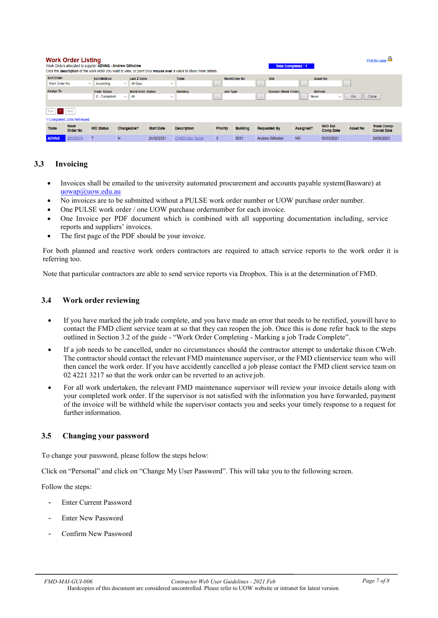|                      | <b>Work Order Listing</b>      | Work Orders allocated to supplier ADVAG - Andrew Gilholme |                    |                         |                   | Click the description of the work order you want to view, or point your mouse over a value to show more details. |                 |                     | <b>Total Completed: 1</b> |                               |                                    |                 | Print this page                          |
|----------------------|--------------------------------|-----------------------------------------------------------|--------------------|-------------------------|-------------------|------------------------------------------------------------------------------------------------------------------|-----------------|---------------------|---------------------------|-------------------------------|------------------------------------|-----------------|------------------------------------------|
| <b>Sort Order</b>    |                                | <b>Sort Method</b>                                        |                    | <b>Last X Davs</b>      |                   | <b>Trade</b>                                                                                                     |                 | <b>WorkOrder No</b> | <b>Site</b>               |                               | <b>Asset No</b>                    |                 |                                          |
| <b>Work Order No</b> | $\checkmark$                   | Ascending                                                 | $\checkmark$       | <b>All Days</b>         | $\checkmark$      |                                                                                                                  | <b>Service</b>  |                     | $\sim 100$                | <b>Service</b>                |                                    | $\sim 100$      |                                          |
| <b>Assign To</b>     |                                | <b>Trade Status</b>                                       |                    | <b>WorkOrder Status</b> |                   | <b>Building</b>                                                                                                  | <b>Job Type</b> |                     | Domain (Work Order)       |                               | Refresh                            |                 |                                          |
|                      |                                | C - Completed                                             | $\checkmark$       | All                     | $\checkmark$      |                                                                                                                  | $\cdots$        |                     | $\sim$ $\sim$ $\sim$      | <b>Never</b><br>$\sim$ $\sim$ | $\checkmark$                       | Go              | Clear                                    |
|                      |                                |                                                           |                    |                         |                   |                                                                                                                  |                 |                     |                           |                               |                                    |                 |                                          |
| -11<br>Prev          | Next                           |                                                           |                    |                         |                   |                                                                                                                  |                 |                     |                           |                               |                                    |                 |                                          |
|                      | 1 Completed Jobs Retrieved.    |                                                           |                    |                         |                   |                                                                                                                  |                 |                     |                           |                               |                                    |                 |                                          |
| Trade                | <b>Work</b><br><b>Order No</b> | <b>WO Status</b>                                          | <b>Chargeable?</b> |                         | <b>Start Date</b> | <b>Description</b>                                                                                               | <b>Priority</b> | <b>Building</b>     | <b>Requested By</b>       | <b>Assigned?</b>              | <b>W/O Est</b><br><b>Comp Date</b> | <b>Asset No</b> | <b>Trade Comp/</b><br><b>Cancel Date</b> |
| <b>ADVAG</b>         | Z0100574                       |                                                           | N                  |                         | 24/02/2021        | <b>CWEB User Guide</b>                                                                                           | 3               | 0031                | <b>Andrew Gilholme</b>    | <b>NO</b>                     | 03/03/2021                         |                 | 24/02/2021                               |

#### <span id="page-6-0"></span>**3.3 Invoicing**

- Invoices shall be emailed to the university automated procurement and accounts payable system(Basware) at [uowap@uow.edu.au](mailto:uowap@uow.edu.au)
- No invoices are to be submitted without a PULSE work order number or UOW purchase order number.
- One PULSE work order / one UOW purchase ordernumber for each invoice.
- One Invoice per PDF document which is combined with all supporting documentation including, service reports and suppliers' invoices.
- The first page of the PDF should be your invoice.

For both planned and reactive work orders contractors are required to attach service reports to the work order it is referring too.

Note that particular contractors are able to send service reports via Dropbox. This is at the determination of FMD.

#### <span id="page-6-1"></span>**3.4 Work order reviewing**

- If you have marked the job trade complete, and you have made an error that needs to be rectified, youwill have to contact the FMD client service team at so that they can reopen the job. Once this is done refer back to the steps outlined in Section 3.2 of the guide - "Work Order Completing - Marking a job Trade Complete".
- If a job needs to be cancelled, under no circumstances should the contractor attempt to undertake thison CWeb. The contractor should contact the relevant FMD maintenance supervisor, or the FMD clientservice team who will then cancel the work order. If you have accidently cancelled a job please contact the FMD client service team on 02 4221 3217 so that the work order can be reverted to an active job.
- For all work undertaken, the relevant FMD maintenance supervisor will review your invoice details along with your completed work order. If the supervisor is not satisfied with the information you have forwarded, payment of the invoice will be withheld while the supervisor contacts you and seeks your timely response to a request for further information.

#### <span id="page-6-2"></span>**3.5 Changing your password**

To change your password, please follow the steps below:

Click on "Personal" and click on "Change My User Password". This will take you to the following screen.

Follow the steps:

- Enter Current Password
- Enter New Password
- Confirm New Password